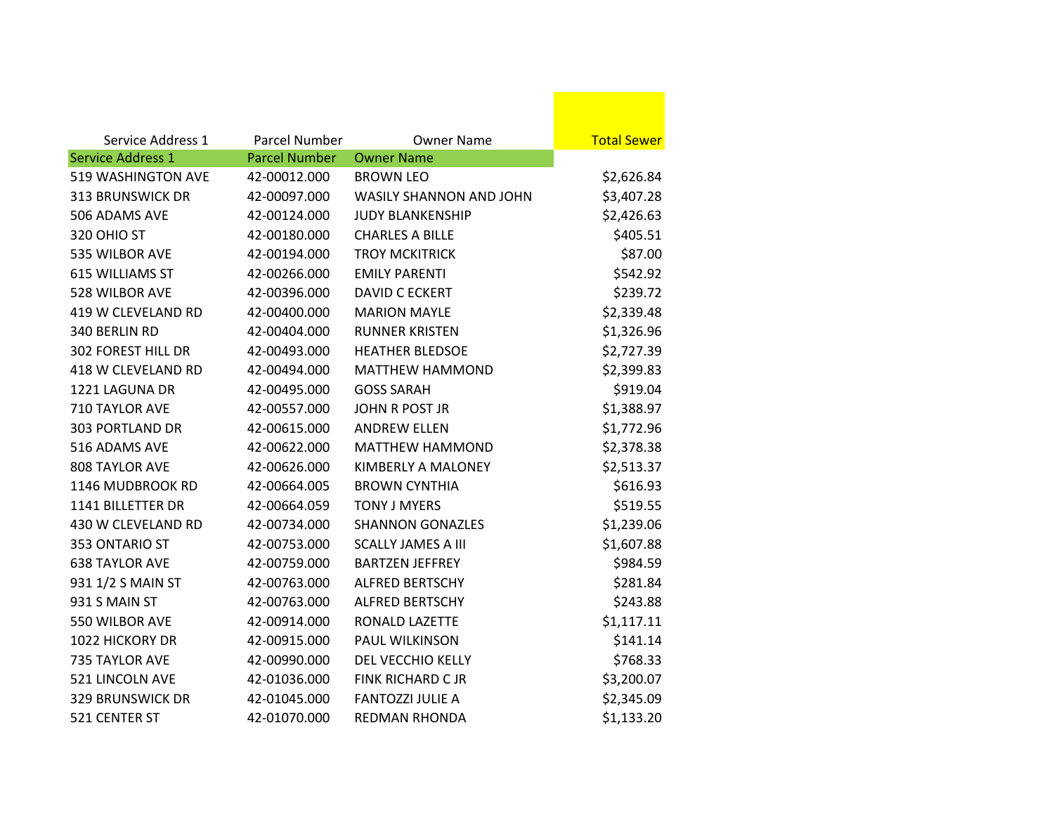| Service Address 1<br><b>Service Address 1</b> | <b>Parcel Number</b><br><b>Parcel Number</b> | Owner Name<br><b>Owner Name</b> | <b>Total Sewer</b> |
|-----------------------------------------------|----------------------------------------------|---------------------------------|--------------------|
| <b>519 WASHINGTON AVE</b>                     |                                              |                                 |                    |
|                                               | 42-00012.000                                 | <b>BROWN LEO</b>                | \$2,626.84         |
| <b>313 BRUNSWICK DR</b>                       | 42-00097.000                                 | <b>WASILY SHANNON AND JOHN</b>  | \$3,407.28         |
| 506 ADAMS AVE                                 | 42-00124.000                                 | <b>JUDY BLANKENSHIP</b>         | \$2,426.63         |
| 320 OHIO ST                                   | 42-00180.000                                 | <b>CHARLES A BILLE</b>          | \$405.51           |
| 535 WILBOR AVE                                | 42-00194.000                                 | <b>TROY MCKITRICK</b>           | \$87.00            |
| 615 WILLIAMS ST                               | 42-00266.000                                 | <b>EMILY PARENTI</b>            | \$542.92           |
| 528 WILBOR AVE                                | 42-00396.000                                 | <b>DAVID C ECKERT</b>           | \$239.72           |
| 419 W CLEVELAND RD                            | 42-00400.000                                 | <b>MARION MAYLE</b>             | \$2,339.48         |
| 340 BERLIN RD                                 | 42-00404.000                                 | <b>RUNNER KRISTEN</b>           | \$1,326.96         |
| <b>302 FOREST HILL DR</b>                     | 42-00493.000                                 | <b>HEATHER BLEDSOE</b>          | \$2,727.39         |
| 418 W CLEVELAND RD                            | 42-00494.000                                 | <b>MATTHEW HAMMOND</b>          | \$2,399.83         |
| 1221 LAGUNA DR                                | 42-00495.000                                 | <b>GOSS SARAH</b>               | \$919.04           |
| 710 TAYLOR AVE                                | 42-00557.000                                 | <b>JOHN R POST JR</b>           | \$1,388.97         |
| <b>303 PORTLAND DR</b>                        | 42-00615.000                                 | <b>ANDREW ELLEN</b>             | \$1,772.96         |
| 516 ADAMS AVE                                 | 42-00622.000                                 | <b>MATTHEW HAMMOND</b>          | \$2,378.38         |
| <b>808 TAYLOR AVE</b>                         | 42-00626.000                                 | KIMBERLY A MALONEY              | \$2,513.37         |
| 1146 MUDBROOK RD                              | 42-00664.005                                 | <b>BROWN CYNTHIA</b>            | \$616.93           |
| 1141 BILLETTER DR                             | 42-00664.059                                 | <b>TONY J MYERS</b>             | \$519.55           |
| 430 W CLEVELAND RD                            | 42-00734.000                                 | <b>SHANNON GONAZLES</b>         | \$1,239.06         |
| 353 ONTARIO ST                                | 42-00753.000                                 | <b>SCALLY JAMES A III</b>       | \$1,607.88         |
| <b>638 TAYLOR AVE</b>                         | 42-00759.000                                 | <b>BARTZEN JEFFREY</b>          | \$984.59           |
| 931 1/2 S MAIN ST                             | 42-00763.000                                 | <b>ALFRED BERTSCHY</b>          | \$281.84           |
| 931 S MAIN ST                                 | 42-00763.000                                 | <b>ALFRED BERTSCHY</b>          | \$243.88           |
| 550 WILBOR AVE                                | 42-00914.000                                 | RONALD LAZETTE                  | \$1,117.11         |
| <b>1022 HICKORY DR</b>                        | 42-00915.000                                 | <b>PAUL WILKINSON</b>           | \$141.14           |
| 735 TAYLOR AVE                                | 42-00990.000                                 | DEL VECCHIO KELLY               | \$768.33           |
| 521 LINCOLN AVE                               | 42-01036.000                                 | <b>FINK RICHARD CJR</b>         | \$3,200.07         |
| <b>329 BRUNSWICK DR</b>                       | 42-01045.000                                 | <b>FANTOZZI JULIE A</b>         | \$2,345.09         |
| 521 CENTER ST                                 | 42-01070.000                                 | <b>REDMAN RHONDA</b>            | \$1,133.20         |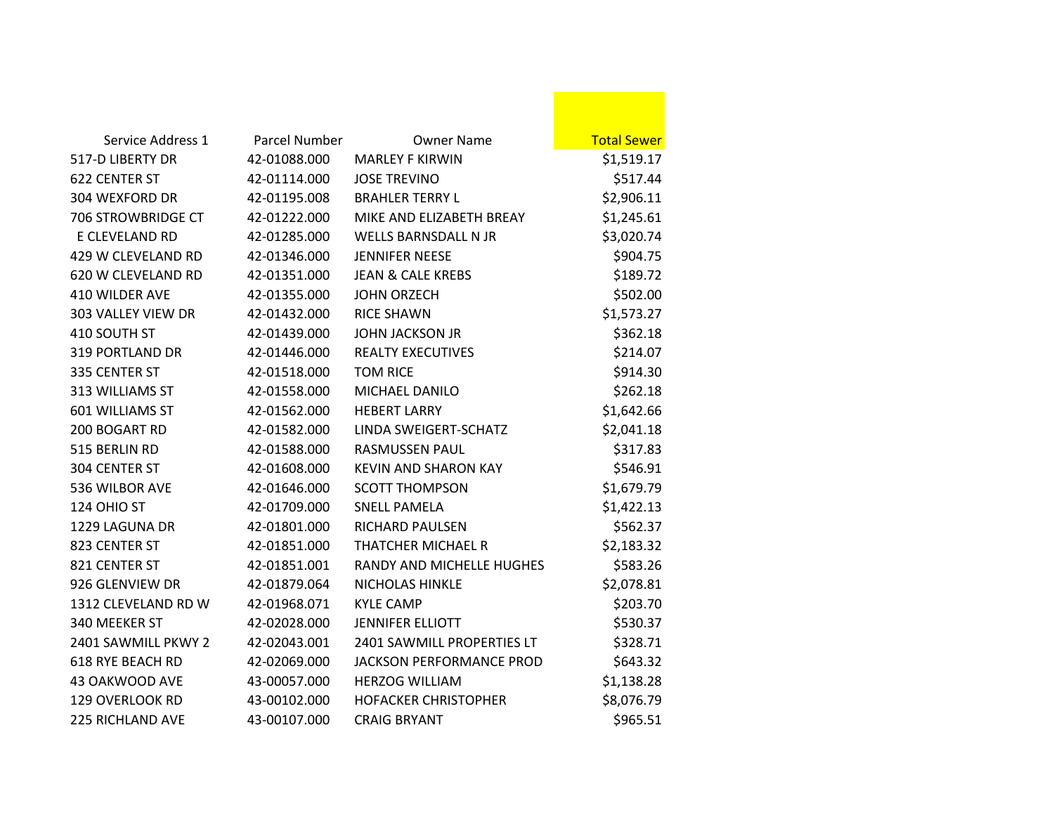| Service Address 1       | Parcel Number | <b>Owner Name</b>               | <b>Total Sewer</b> |
|-------------------------|---------------|---------------------------------|--------------------|
| 517-D LIBERTY DR        | 42-01088.000  | <b>MARLEY F KIRWIN</b>          | \$1,519.17         |
| <b>622 CENTER ST</b>    | 42-01114.000  | <b>JOSE TREVINO</b>             | \$517.44           |
| 304 WEXFORD DR          | 42-01195.008  | <b>BRAHLER TERRY L</b>          | \$2,906.11         |
| 706 STROWBRIDGE CT      | 42-01222.000  | MIKE AND ELIZABETH BREAY        | \$1,245.61         |
| E CLEVELAND RD          | 42-01285.000  | <b>WELLS BARNSDALL N JR</b>     | \$3,020.74         |
| 429 W CLEVELAND RD      | 42-01346.000  | <b>JENNIFER NEESE</b>           | \$904.75           |
| 620 W CLEVELAND RD      | 42-01351.000  | <b>JEAN &amp; CALE KREBS</b>    | \$189.72           |
| 410 WILDER AVE          | 42-01355.000  | <b>JOHN ORZECH</b>              | \$502.00           |
| 303 VALLEY VIEW DR      | 42-01432.000  | <b>RICE SHAWN</b>               | \$1,573.27         |
| 410 SOUTH ST            | 42-01439.000  | <b>JOHN JACKSON JR</b>          | \$362.18           |
| <b>319 PORTLAND DR</b>  | 42-01446.000  | <b>REALTY EXECUTIVES</b>        | \$214.07           |
| 335 CENTER ST           | 42-01518.000  | <b>TOM RICE</b>                 | \$914.30           |
| 313 WILLIAMS ST         | 42-01558.000  | MICHAEL DANILO                  | \$262.18           |
| 601 WILLIAMS ST         | 42-01562.000  | <b>HEBERT LARRY</b>             | \$1,642.66         |
| 200 BOGART RD           | 42-01582.000  | LINDA SWEIGERT-SCHATZ           | \$2,041.18         |
| 515 BERLIN RD           | 42-01588.000  | <b>RASMUSSEN PAUL</b>           | \$317.83           |
| 304 CENTER ST           | 42-01608.000  | <b>KEVIN AND SHARON KAY</b>     | \$546.91           |
| 536 WILBOR AVE          | 42-01646.000  | <b>SCOTT THOMPSON</b>           | \$1,679.79         |
| 124 OHIO ST             | 42-01709.000  | <b>SNELL PAMELA</b>             | \$1,422.13         |
| 1229 LAGUNA DR          | 42-01801.000  | <b>RICHARD PAULSEN</b>          | \$562.37           |
| 823 CENTER ST           | 42-01851.000  | <b>THATCHER MICHAEL R</b>       | \$2,183.32         |
| 821 CENTER ST           | 42-01851.001  | RANDY AND MICHELLE HUGHES       | \$583.26           |
| 926 GLENVIEW DR         | 42-01879.064  | NICHOLAS HINKLE                 | \$2,078.81         |
| 1312 CLEVELAND RD W     | 42-01968.071  | <b>KYLE CAMP</b>                | \$203.70           |
| 340 MEEKER ST           | 42-02028.000  | <b>JENNIFER ELLIOTT</b>         | \$530.37           |
| 2401 SAWMILL PKWY 2     | 42-02043.001  | 2401 SAWMILL PROPERTIES LT      | \$328.71           |
| <b>618 RYE BEACH RD</b> | 42-02069.000  | <b>JACKSON PERFORMANCE PROD</b> | \$643.32           |
| 43 OAKWOOD AVE          | 43-00057.000  | <b>HERZOG WILLIAM</b>           | \$1,138.28         |
| 129 OVERLOOK RD         | 43-00102.000  | <b>HOFACKER CHRISTOPHER</b>     | \$8,076.79         |
| 225 RICHLAND AVE        | 43-00107.000  | <b>CRAIG BRYANT</b>             | \$965.51           |